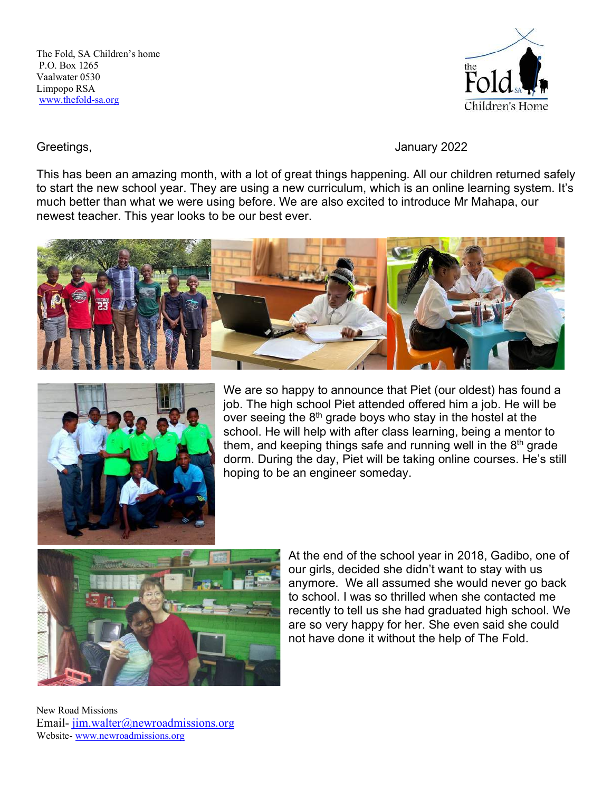

## Greetings, Greetings, Greetings, Greetings, Greetings, Greetings, Greetings, Greetings, Greenical Communications of  $\sim$

This has been an amazing month, with a lot of great things happening. All our children returned safely to start the new school year. They are using a new curriculum, which is an online learning system. It's much better than what we were using before. We are also excited to introduce Mr Mahapa, our newest teacher. This year looks to be our best ever.





We are so happy to announce that Piet (our oldest) has found a job. The high school Piet attended offered him a job. He will be over seeing the  $8<sup>th</sup>$  grade boys who stay in the hostel at the school. He will help with after class learning, being a mentor to them, and keeping things safe and running well in the  $8<sup>th</sup>$  grade dorm. During the day, Piet will be taking online courses. He's still hoping to be an engineer someday.



At the end of the school year in 2018, Gadibo, one of our girls, decided she didn't want to stay with us anymore. We all assumed she would never go back to school. I was so thrilled when she contacted me recently to tell us she had graduated high school. We are so very happy for her. She even said she could not have done it without the help of The Fold.

New Road Missions Email-jim.walter@newroadmissions.org Website-www.newroadmissions.org